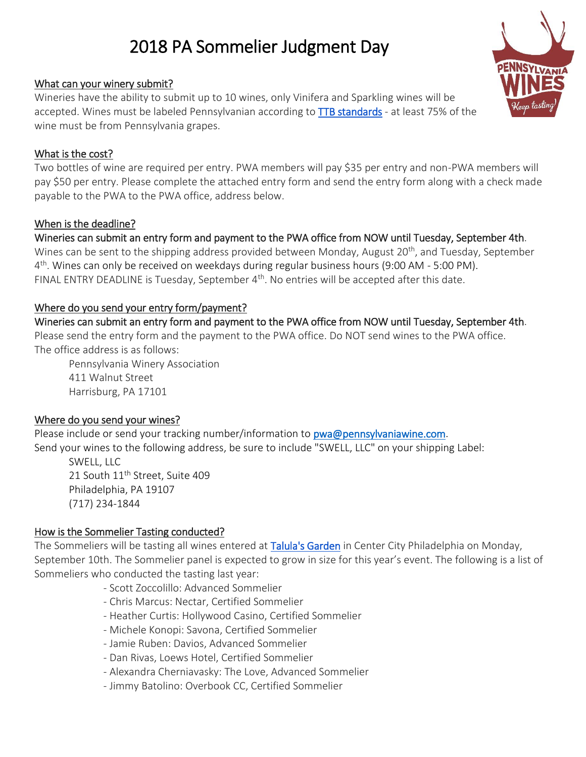# 2018 PA Sommelier Judgment Day

#### What can your winery submit?

Wineries have the ability to submit up to 10 wines, only Vinifera and Sparkling wines will be accepted. Wines must be labeled Pennsylvanian according to [TTB standards](https://www.ecfr.gov/cgi-bin/text-idx?c=ecfr&sid=506cf0c03546efff958847134c5527d3&rgn=div5&view=text&node=27:1.0.1.1.2&idno=27#se27.1.4_125) - at least 75% of the wine must be from Pennsylvania grapes.

#### What is the cost?

Two bottles of wine are required per entry. PWA members will pay \$35 per entry and non-PWA members will pay \$50 per entry. Please complete the attached entry form and send the entry form along with a check made payable to the PWA to the PWA office, address below.

#### When is the deadline?

#### Wineries can submit an entry form and payment to the PWA office from NOW until Tuesday, September 4th.

Wines can be sent to the shipping address provided between Monday, August 20<sup>th</sup>, and Tuesday, September 4<sup>th</sup>. Wines can only be received on weekdays during regular business hours (9:00 AM - 5:00 PM). FINAL ENTRY DEADLINE is Tuesday, September  $4<sup>th</sup>$ . No entries will be accepted after this date.

#### Where do you send your entry form/payment?

## Wineries can submit an entry form and payment to the PWA office from NOW until Tuesday, September 4th.

Please send the entry form and the payment to the PWA office. Do NOT send wines to the PWA office. The office address is as follows:

Pennsylvania Winery Association 411 Walnut Street Harrisburg, PA 17101

#### Where do you send your wines?

Please include or send your tracking number/information to [pwa@pennsylvaniawine.com.](mailto:pwa@pennsylvaniawine.com) Send your wines to the following address, be sure to include "SWELL, LLC" on your shipping Label:

SWELL, LLC 21 South 11<sup>th</sup> Street, Suite 409 Philadelphia, PA 19107 (717) 234-1844

#### How is the Sommelier Tasting conducted?

The Sommeliers will be tasting all wines entered at [Talula's Garden](http://www.talulasgarden.com/) in Center City Philadelphia on Monday, September 10th. The Sommelier panel is expected to grow in size for this year's event. The following is a list of Sommeliers who conducted the tasting last year:

- Scott Zoccolillo: Advanced Sommelier
- Chris Marcus: Nectar, Certified Sommelier
- Heather Curtis: Hollywood Casino, Certified Sommelier
- Michele Konopi: Savona, Certified Sommelier
- Jamie Ruben: Davios, Advanced Sommelier
- Dan Rivas, Loews Hotel, Certified Sommelier
- Alexandra Cherniavasky: The Love, Advanced Sommelier
- Jimmy Batolino: Overbook CC, Certified Sommelier

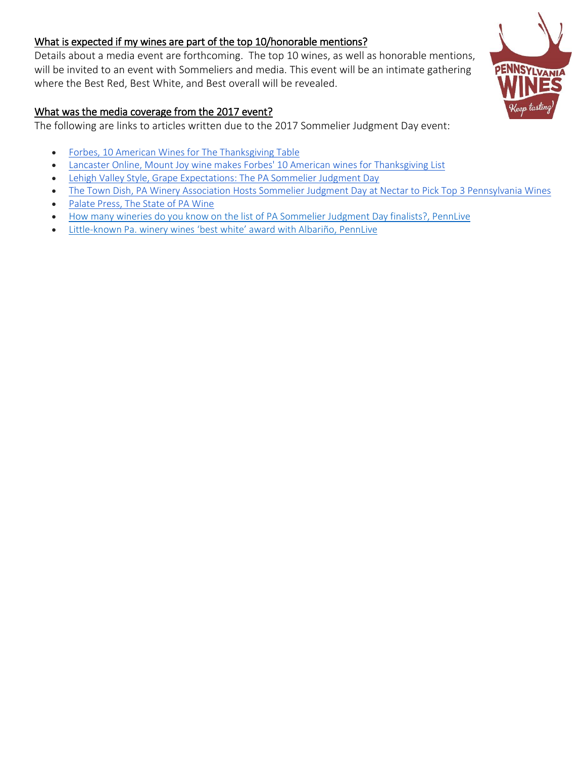#### What is expected if my wines are part of the top 10/honorable mentions?

Details about a media event are forthcoming. The top 10 wines, as well as honorable mentions, will be invited to an event with Sommeliers and media. This event will be an intimate gathering where the Best Red, Best White, and Best overall will be revealed.

#### What was the media coverage from the 2017 event?

The following are links to articles written due to the 2017 Sommelier Judgment Day event:

- [Forbes, 10 American Wines for The Thanksgiving Table](https://www.forbes.com/sites/brianfreedman/2017/11/21/ten-american-wines-for-the-thanksgiving-table/#c8d837e65bb3)
- [Lancaster Online, Mount Joy wine makes Forbes' 10 American wines for Thanksgiving List](https://lancasteronline.com/features/food/mount-joy-wine-makes-forbes-american-wines-for-thanksgiving-list/article_04410fcc-cefe-11e7-b8ef-6ba6350f792c.html)
- [Lehigh Valley Style, Grape Expectations: The PA Sommelier Judgment Day](http://lehighvalleystyle.com/food/drinks/grape-expectations-the-pa-sommelier-judgment-day/)
- [The Town Dish, PA Winery Association Hosts Sommelier Judgment Day at Nectar to Pick Top 3 Pennsylvania Wines](https://www.thetowndish.com/news/2017/pa-winery-association-hosts-sommelier-judgment-day-at-nectar-to-pick-top-3-pennsylvania-wines/)
- [Palate Press, The State of PA Wine](http://palatepress.com/2017/07/wine/pennsylvania-wine/)
- [How many wineries do you know on the list of PA Sommelier Judgment Day finalists?, PennLive](http://blog.pennlive.com/wine/2017/06/final_wrapup_on_pa_sommelier_judgment_day.html)
- Little-[known Pa. winery wines 'best white' award with Albariño](http://blog.pennlive.com/wine/2017/06/maple_springs_wins_best_white_wine_with_albarino.html), PennLive